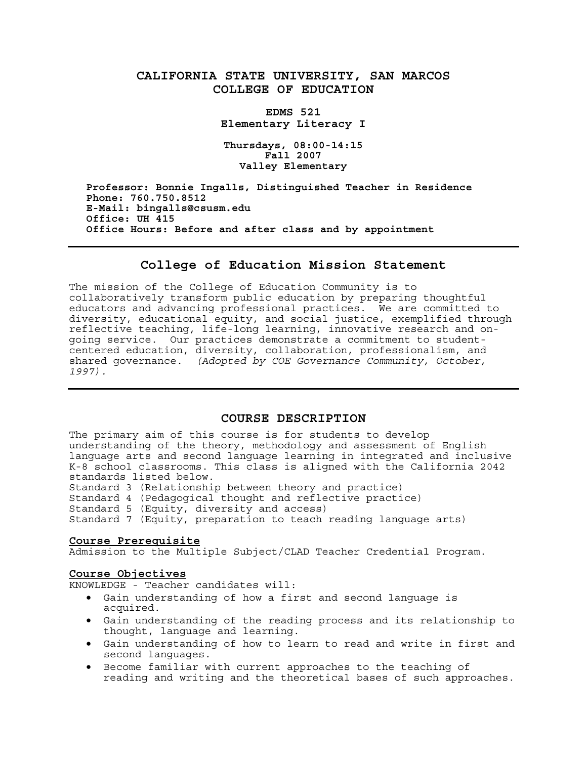# **CALIFORNIA STATE UNIVERSITY, SAN MARCOS COLLEGE OF EDUCATION**

**EDMS 521 Elementary Literacy I** 

**Thursdays, 08:00-14:15 Fall 2007 Valley Elementary** 

**Professor: Bonnie Ingalls, Distinguished Teacher in Residence Phone: 760.750.8512 E-Mail: bingalls@csusm.edu Office: UH 415 Office Hours: Before and after class and by appointment**

### **College of Education Mission Statement**

The mission of the College of Education Community is to collaboratively transform public education by preparing thoughtful educators and advancing professional practices. We are committed to diversity, educational equity, and social justice, exemplified through reflective teaching, life-long learning, innovative research and ongoing service. Our practices demonstrate a commitment to studentcentered education, diversity, collaboration, professionalism, and shared governance. *(Adopted by COE Governance Community, October, 1997).* 

## **COURSE DESCRIPTION**

The primary aim of this course is for students to develop understanding of the theory, methodology and assessment of English language arts and second language learning in integrated and inclusive K-8 school classrooms. This class is aligned with the California 2042 standards listed below.

Standard 3 (Relationship between theory and practice)

Standard 4 (Pedagogical thought and reflective practice)

Standard 5 (Equity, diversity and access)

Standard 7 (Equity, preparation to teach reading language arts)

#### **Course Prerequisite**

Admission to the Multiple Subject/CLAD Teacher Credential Program.

### **Course Objectives**

KNOWLEDGE - Teacher candidates will:

- Gain understanding of how a first and second language is acquired.
- Gain understanding of the reading process and its relationship to thought, language and learning.
- Gain understanding of how to learn to read and write in first and second languages.
- Become familiar with current approaches to the teaching of reading and writing and the theoretical bases of such approaches.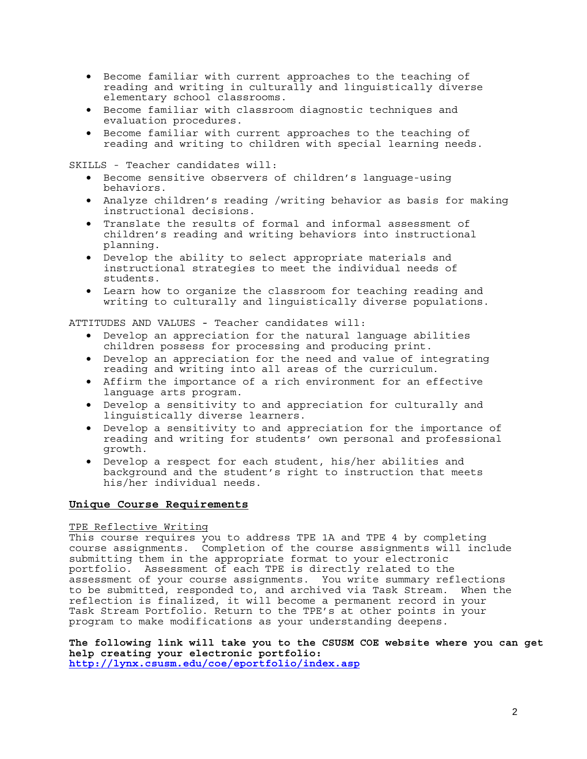- Become familiar with current approaches to the teaching of reading and writing in culturally and linguistically diverse elementary school classrooms.
- Become familiar with classroom diagnostic techniques and evaluation procedures.
- Become familiar with current approaches to the teaching of reading and writing to children with special learning needs.

SKILLS - Teacher candidates will:

- Become sensitive observers of children's language-using behaviors.
- Analyze children's reading /writing behavior as basis for making instructional decisions.
- Translate the results of formal and informal assessment of children's reading and writing behaviors into instructional planning.
- Develop the ability to select appropriate materials and instructional strategies to meet the individual needs of students.
- Learn how to organize the classroom for teaching reading and writing to culturally and linguistically diverse populations.

ATTITUDES AND VALUES - Teacher candidates will:

- Develop an appreciation for the natural language abilities children possess for processing and producing print.
- Develop an appreciation for the need and value of integrating reading and writing into all areas of the curriculum.
- Affirm the importance of a rich environment for an effective language arts program.
- Develop a sensitivity to and appreciation for culturally and linguistically diverse learners.
- Develop a sensitivity to and appreciation for the importance of reading and writing for students' own personal and professional growth.
- Develop a respect for each student, his/her abilities and background and the student's right to instruction that meets his/her individual needs.

### **Unique Course Requirements**

### TPE Reflective Writing

This course requires you to address TPE 1A and TPE 4 by completing course assignments. Completion of the course assignments will include submitting them in the appropriate format to your electronic portfolio. Assessment of each TPE is directly related to the assessment of your course assignments. You write summary reflections to be submitted, responded to, and archived via Task Stream.When the reflection is finalized, it will become a permanent record in your Task Stream Portfolio. Return to the TPE's at other points in your program to make modifications as your understanding deepens.

**The following link will take you to the CSUSM COE website where you can get help creating your electronic portfolio: http://lynx.csusm.edu/coe/eportfolio/index.asp**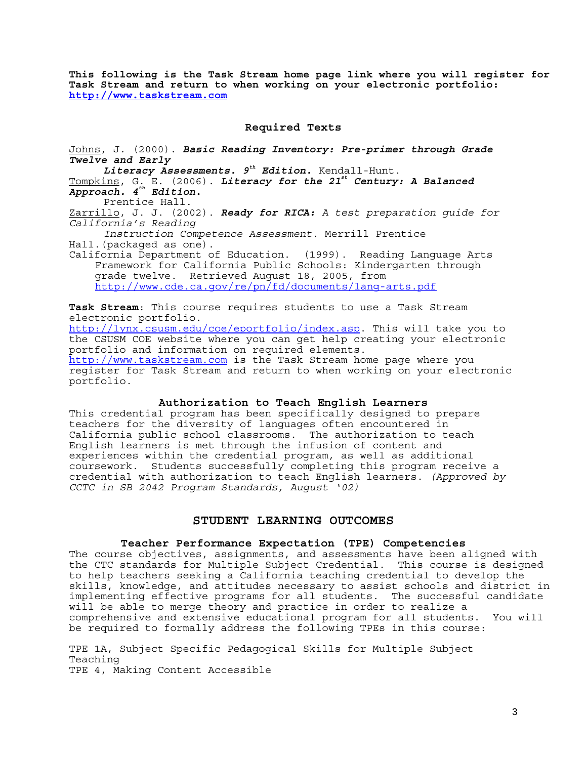**This following is the Task Stream home page link where you will register for Task Stream and return to when working on your electronic portfolio: http://www.taskstream.com**

## **Required Texts**

Johns, J. (2000). *Basic Reading Inventory: Pre-primer through Grade Twelve and Early Literacy Assessments. 9th Edition.* Kendall-Hunt. Tompkins, G. E. (2006). *Literacy for the 21st Century: A Balanced Approach. 4th Edition***.** Prentice Hall. Zarrillo, J. J. (2002). *Ready for RICA: A test preparation guide for California's Reading Instruction Competence Assessment.* Merrill Prentice Hall.(packaged as one). California Department of Education. (1999). Reading Language Arts Framework for California Public Schools: Kindergarten through grade twelve. Retrieved August 18, 2005, from http://www.cde.ca.qov/re/pn/fd/documents/lang-arts.pdf

**Task Stream**: This course requires students to use a Task Stream electronic portfolio. http://lynx.csusm.edu/coe/eportfolio/index.asp. This will take you to the CSUSM COE website where you can get help creating your electronic portfolio and information on required elements. http://www.taskstream.com is the Task Stream home page where you register for Task Stream and return to when working on your electronic portfolio.

### **Authorization to Teach English Learners**

This credential program has been specifically designed to prepare teachers for the diversity of languages often encountered in California public school classrooms. The authorization to teach English learners is met through the infusion of content and experiences within the credential program, as well as additional coursework. Students successfully completing this program receive a credential with authorization to teach English learners. *(Approved by CCTC in SB 2042 Program Standards, August '02)*

### **STUDENT LEARNING OUTCOMES**

### **Teacher Performance Expectation (TPE) Competencies**

The course objectives, assignments, and assessments have been aligned with the CTC standards for Multiple Subject Credential. This course is designed to help teachers seeking a California teaching credential to develop the skills, knowledge, and attitudes necessary to assist schools and district in implementing effective programs for all students. The successful candidate will be able to merge theory and practice in order to realize a comprehensive and extensive educational program for all students. You will be required to formally address the following TPEs in this course:

TPE 1A, Subject Specific Pedagogical Skills for Multiple Subject Teaching TPE 4, Making Content Accessible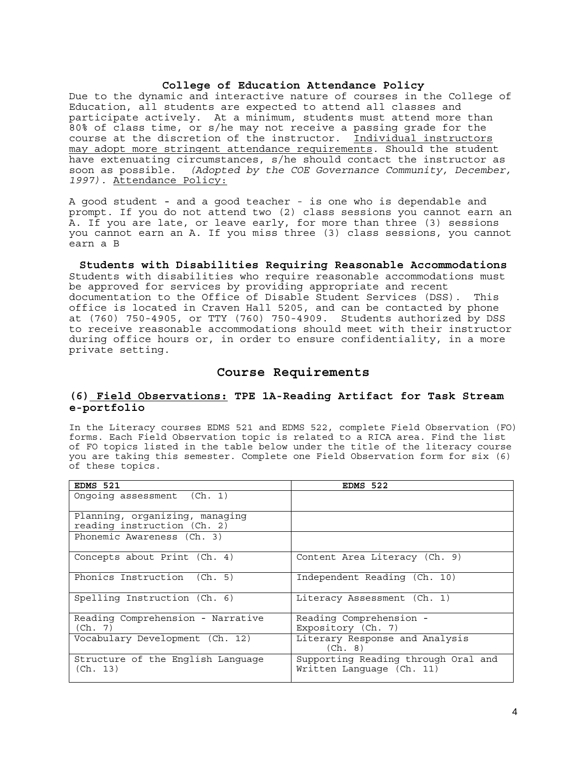### **College of Education Attendance Policy**

Due to the dynamic and interactive nature of courses in the College of Education, all students are expected to attend all classes and participate actively. At a minimum, students must attend more than 80% of class time, or s/he may not receive a passing grade for the course at the discretion of the instructor. Individual instructors may adopt more stringent attendance requirements. Should the student have extenuating circumstances, s/he should contact the instructor as soon as possible. *(Adopted by the COE Governance Community, December, 1997).* Attendance Policy:

A good student - and a good teacher - is one who is dependable and prompt. If you do not attend two (2) class sessions you cannot earn an A. If you are late, or leave early, for more than three (3) sessions you cannot earn an A. If you miss three (3) class sessions, you cannot earn a B

**Students with Disabilities Requiring Reasonable Accommodations**  Students with disabilities who require reasonable accommodations must be approved for services by providing appropriate and recent documentation to the Office of Disable Student Services (DSS). This office is located in Craven Hall 5205, and can be contacted by phone at (760) 750-4905, or TTY (760) 750-4909. Students authorized by DSS to receive reasonable accommodations should meet with their instructor during office hours or, in order to ensure confidentiality, in a more private setting.

## **Course Requirements**

### **(6) Field Observations: TPE 1A-Reading Artifact for Task Stream e-portfolio**

In the Literacy courses EDMS 521 and EDMS 522, complete Field Observation (FO) forms. Each Field Observation topic is related to a RICA area. Find the list of FO topics listed in the table below under the title of the literacy course you are taking this semester. Complete one Field Observation form for six (6) of these topics.

| EDMS 521                                                      | EDMS 522                                                         |
|---------------------------------------------------------------|------------------------------------------------------------------|
| Ongoing assessment (Ch. 1)                                    |                                                                  |
| Planning, organizing, managing<br>reading instruction (Ch. 2) |                                                                  |
| Phonemic Awareness (Ch. 3)                                    |                                                                  |
| Concepts about Print (Ch. 4)                                  | Content Area Literacy (Ch. 9)                                    |
| Phonics Instruction (Ch. 5)                                   | Independent Reading (Ch. 10)                                     |
| Spelling Instruction (Ch. 6)                                  | Literacy Assessment (Ch. 1)                                      |
| Reading Comprehension - Narrative<br>(Ch. 7)                  | Reading Comprehension -<br>Expository (Ch. 7)                    |
| Vocabulary Development (Ch. 12)                               | Literary Response and Analysis<br>(Ch. 8)                        |
| Structure of the English Language<br>(Ch. 13)                 | Supporting Reading through Oral and<br>Written Language (Ch. 11) |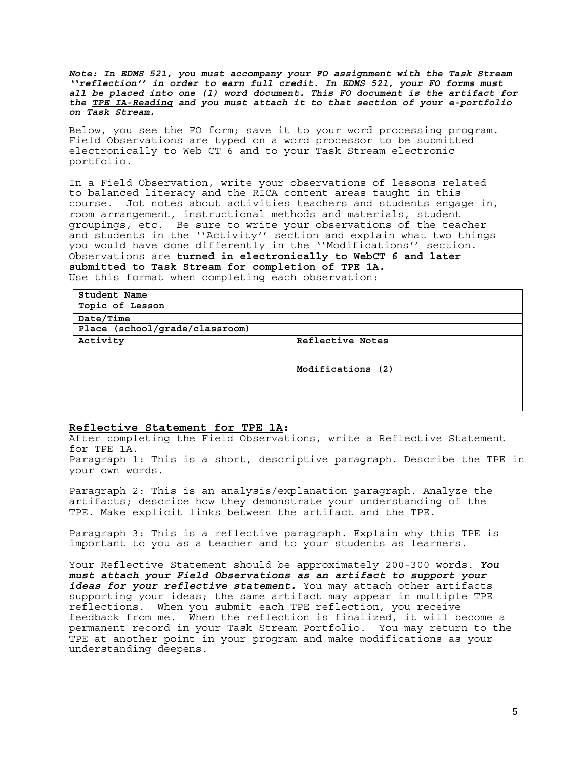*Note: In EDMS 521, you must accompany your FO assignment with the Task Stream ''reflection'' in order to earn full credit. In EDMS 521, your FO forms must all be placed into one (1) word document. This FO document is the artifact for the TPE IA-Reading and you must attach it to that section of your e-portfolio on Task Stream.*

Below, you see the FO form; save it to your word processing program. Field Observations are typed on a word processor to be submitted electronically to Web  $CT$ <sup> $6$ </sup> and to your Task Stream electronic portfolio.

In a Field Observation, write your observations of lessons related to balanced literacy and the RICA content areas taught in this course. Jot notes about activities teachers and students engage in, room arrangement, instructional methods and materials, student groupings, etc. Be sure to write your observations of the teacher and students in the ''Activity'' section and explain what two things you would have done differently in the ''Modifications'' section. Observations are **turned in electronically to WebCT 6 and later submitted to Task Stream for completion of TPE 1A.**  Use this format when completing each observation:

| Student Name                   |                   |  |  |
|--------------------------------|-------------------|--|--|
| Topic of Lesson                |                   |  |  |
| Date/Time                      |                   |  |  |
| Place (school/grade/classroom) |                   |  |  |
| Activity                       | Reflective Notes  |  |  |
|                                |                   |  |  |
|                                | Modifications (2) |  |  |
|                                |                   |  |  |
|                                |                   |  |  |
|                                |                   |  |  |

### **Reflective Statement for TPE 1A:**

After completing the Field Observations, write a Reflective Statement for TPE 1A.

Paragraph 1: This is a short, descriptive paragraph. Describe the TPE in your own words.

Paragraph 2: This is an analysis/explanation paragraph. Analyze the artifacts; describe how they demonstrate your understanding of the TPE. Make explicit links between the artifact and the TPE.

Paragraph 3: This is a reflective paragraph. Explain why this TPE is important to you as a teacher and to your students as learners.

Your Reflective Statement should be approximately 200-300 words. *You must attach your Field Observations as an artifact to support your*  ideas for your reflective statement. You may attach other artifacts supporting your ideas; the same artifact may appear in multiple TPE reflections. When you submit each TPE reflection, you receive feedback from me. When the reflection is finalized, it will become a permanent record in your Task Stream Portfolio. You may return to the TPE at another point in your program and make modifications as your understanding deepens.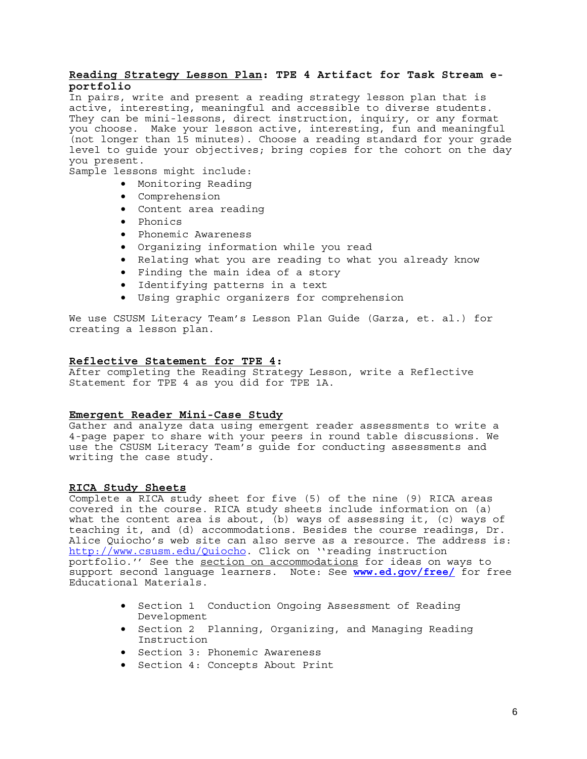### **Reading Strategy Lesson Plan: TPE 4 Artifact for Task Stream eportfolio**

In pairs, write and present a reading strategy lesson plan that is active, interesting, meaningful and accessible to diverse students. They can be mini-lessons, direct instruction, inquiry, or any format you choose. Make your lesson active, interesting, fun and meaningful (not longer than 15 minutes). Choose a reading standard for your grade level to guide your objectives; bring copies for the cohort on the day you present.

Sample lessons might include:

- Monitoring Reading
- Comprehension
- Content area reading
- Phonics
- Phonemic Awareness
- Organizing information while you read
- Relating what you are reading to what you already know
- Finding the main idea of a story
- Identifying patterns in a text
- Using graphic organizers for comprehension

We use CSUSM Literacy Team's Lesson Plan Guide (Garza, et. al.) for creating a lesson plan.

#### **Reflective Statement for TPE 4:**

After completing the Reading Strategy Lesson, write a Reflective Statement for TPE 4 as you did for TPE 1A.

### **Emergent Reader Mini-Case Study**

Gather and analyze data using emergent reader assessments to write a 4-page paper to share with your peers in round table discussions. We use the CSUSM Literacy Team's guide for conducting assessments and writing the case study.

### **RICA Study Sheets**

Complete a RICA study sheet for five (5) of the nine (9) RICA areas covered in the course. RICA study sheets include information on (a) what the content area is about,  $(b)$  ways of assessing it, (c) ways of teaching it, and (d) accommodations. Besides the course readings, Dr. Alice Quiocho's web site can also serve as a resource. The address is: http://www.csusm.edu/Quiocho. Click on ''reading instruction portfolio.'' See the section on accommodations for ideas on ways to support second language learners. Note: See **www.ed.gov/free/** for free Educational Materials.

- Section 1 Conduction Ongoing Assessment of Reading Development
- Section 2 Planning, Organizing, and Managing Reading Instruction
- Section 3: Phonemic Awareness
- Section 4: Concepts About Print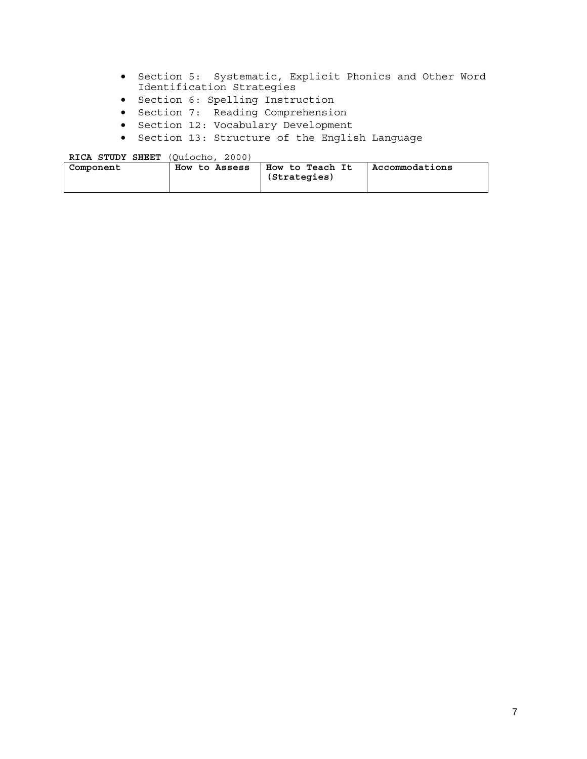- Section 5: Systematic, Explicit Phonics and Other Word Identification Strategies
- Section 6: Spelling Instruction
- Section 7: Reading Comprehension
- Section 12: Vocabulary Development
- Section 13: Structure of the English Language

**RICA STUDY SHEET** (Quiocho, 2000) **Component How to Assess How to Teach It (Strategies) Accommodations**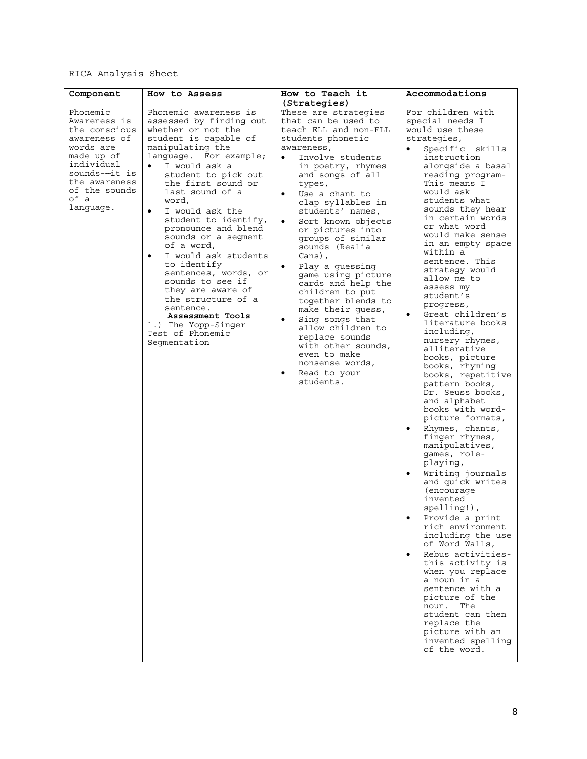# RICA Analysis Sheet

| Component                                                                                                                                                                  | How to Assess                                                                                                                                                                                                                                                                                                                                                                                                                                                                                                                                                                                      | How to Teach it<br>(Strategies)                                                                                                                                                                                                                                                                                                                                                                                                                                                                                                                                                                                                                                       | Accommodations                                                                                                                                                                                                                                                                                                                                                                                                                                                                                                                                                                                                                                                                                                                                                                                                                                                                                                                                                                                                                                                                                                                                                                            |
|----------------------------------------------------------------------------------------------------------------------------------------------------------------------------|----------------------------------------------------------------------------------------------------------------------------------------------------------------------------------------------------------------------------------------------------------------------------------------------------------------------------------------------------------------------------------------------------------------------------------------------------------------------------------------------------------------------------------------------------------------------------------------------------|-----------------------------------------------------------------------------------------------------------------------------------------------------------------------------------------------------------------------------------------------------------------------------------------------------------------------------------------------------------------------------------------------------------------------------------------------------------------------------------------------------------------------------------------------------------------------------------------------------------------------------------------------------------------------|-------------------------------------------------------------------------------------------------------------------------------------------------------------------------------------------------------------------------------------------------------------------------------------------------------------------------------------------------------------------------------------------------------------------------------------------------------------------------------------------------------------------------------------------------------------------------------------------------------------------------------------------------------------------------------------------------------------------------------------------------------------------------------------------------------------------------------------------------------------------------------------------------------------------------------------------------------------------------------------------------------------------------------------------------------------------------------------------------------------------------------------------------------------------------------------------|
| Phonemic<br>Awareness is<br>the conscious<br>awareness of<br>words are<br>made up of<br>individual<br>sounds--it is<br>the awareness<br>of the sounds<br>of a<br>language. | Phonemic awareness is<br>assessed by finding out<br>whether or not the<br>student is capable of<br>manipulating the<br>language. For example;<br>I would ask a<br>student to pick out<br>the first sound or<br>last sound of a<br>word,<br>$\bullet$<br>I would ask the<br>student to identify,<br>pronounce and blend<br>sounds or a segment<br>of a word,<br>I would ask students<br>$\bullet$<br>to identify<br>sentences, words, or<br>sounds to see if<br>they are aware of<br>the structure of a<br>sentence.<br>Assessment Tools<br>1.) The Yopp-Singer<br>Test of Phonemic<br>Segmentation | These are strategies<br>that can be used to<br>teach ELL and non-ELL<br>students phonetic<br>awareness,<br>Involve students<br>$\bullet$<br>in poetry, rhymes<br>and songs of all<br>types,<br>Use a chant to<br>$\bullet$<br>clap syllables in<br>students' names,<br>$\bullet$<br>Sort known objects<br>or pictures into<br>groups of similar<br>sounds (Realia<br>Cans),<br>Play a guessing<br>game using picture<br>cards and help the<br>children to put<br>together blends to<br>make their guess,<br>$\bullet$<br>Sing songs that<br>allow children to<br>replace sounds<br>with other sounds,<br>even to make<br>nonsense words,<br>Read to your<br>students. | For children with<br>special needs I<br>would use these<br>strategies,<br>Specific skills<br>instruction<br>alongside a basal<br>reading program-<br>This means I<br>would ask<br>students what<br>sounds they hear<br>in certain words<br>or what word<br>would make sense<br>in an empty space<br>within a<br>sentence. This<br>strategy would<br>allow me to<br>assess my<br>student's<br>progress,<br>Great children's<br>$\bullet$<br>literature books<br>including,<br>nursery rhymes,<br>alliterative<br>books, picture<br>books, rhyming<br>books, repetitive<br>pattern books,<br>Dr. Seuss books,<br>and alphabet<br>books with word-<br>picture formats,<br>Rhymes, chants,<br>$\bullet$<br>finger rhymes,<br>manipulatives,<br>games, role-<br>playing,<br>$\bullet$<br>Writing journals<br>and quick writes<br>(encourage)<br>invented<br>spelling!),<br>Provide a print<br>rich environment<br>including the use<br>of Word Walls,<br>Rebus activities-<br>$\bullet$<br>this activity is<br>when you replace<br>a noun in a<br>sentence with a<br>picture of the<br>The<br>noun.<br>student can then<br>replace the<br>picture with an<br>invented spelling<br>of the word. |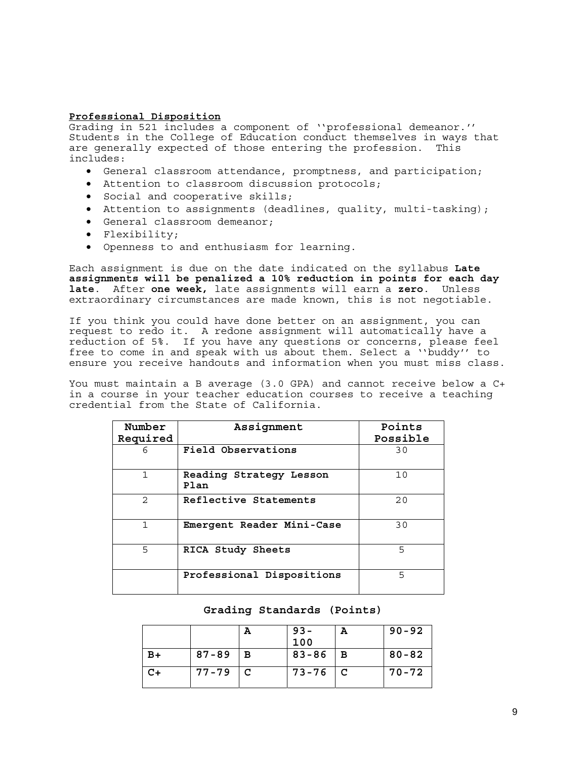### **Professional Disposition**

Grading in 521 includes a component of ''professional demeanor.'' Students in the College of Education conduct themselves in ways that are generally expected of those entering the profession. This includes:

- General classroom attendance, promptness, and participation;
- Attention to classroom discussion protocols;
- Social and cooperative skills;
- Attention to assignments (deadlines, quality, multi-tasking);
- General classroom demeanor;
- Flexibility;
- Openness to and enthusiasm for learning.

Each assignment is due on the date indicated on the syllabus **Late assignments will be penalized a 10% reduction in points for each day late**. After **one week,** late assignments will earn a **zero**. Unless extraordinary circumstances are made known, this is not negotiable.

If you think you could have done better on an assignment, you can request to redo it. A redone assignment will automatically have a reduction of 5%. If you have any questions or concerns, please feel free to come in and speak with us about them. Select a ''buddy'' to ensure you receive handouts and information when you must miss class.

You must maintain a B average (3.0 GPA) and cannot receive below a C+ in a course in your teacher education courses to receive a teaching credential from the State of California.

| Number         | Assignment                      | Points   |
|----------------|---------------------------------|----------|
| Required       |                                 | Possible |
| 6              | Field Observations              | 30       |
| 1              | Reading Strategy Lesson<br>Plan | 10       |
| $\mathfrak{D}$ | Reflective Statements           | 20       |
| 1              | Emergent Reader Mini-Case       | 30       |
| 5              | RICA Study Sheets               | 5        |
|                | Professional Dispositions       | 5        |

## **Grading Standards (Points)**

|      |           | A            | $93 -$<br>100 | A | $90 - 92$ |
|------|-----------|--------------|---------------|---|-----------|
| $B+$ | $87 - 89$ | $\mathbf{B}$ | $83 - 86$     | В | $80 - 82$ |
| C+   | $77 - 79$ | $\mathbf{C}$ | $73 - 76$     | C | $70 - 72$ |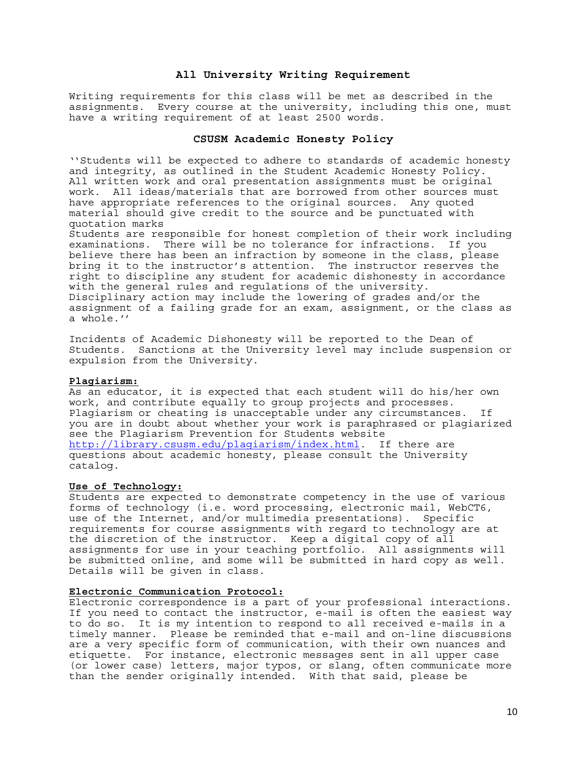### **All University Writing Requirement**

Writing requirements for this class will be met as described in the assignments. Every course at the university, including this one, must have a writing requirement of at least 2500 words.

#### **CSUSM Academic Honesty Policy**

''Students will be expected to adhere to standards of academic honesty and integrity, as outlined in the Student Academic Honesty Policy. All written work and oral presentation assignments must be original work. All ideas/materials that are borrowed from other sources must have appropriate references to the original sources. Any quoted material should give credit to the source and be punctuated with quotation marks

Students are responsible for honest completion of their work including examinations. There will be no tolerance for infractions. If you believe there has been an infraction by someone in the class, please bring it to the instructor's attention. The instructor reserves the right to discipline any student for academic dishonesty in accordance with the general rules and regulations of the university. Disciplinary action may include the lowering of grades and/or the assignment of a failing grade for an exam, assignment, or the class as a whole.''

Incidents of Academic Dishonesty will be reported to the Dean of Students. Sanctions at the University level may include suspension or expulsion from the University.

#### **Plagiarism:**

As an educator, it is expected that each student will do his/her own work, and contribute equally to group projects and processes. Plagiarism or cheating is unacceptable under any circumstances. If you are in doubt about whether your work is paraphrased or plagiarized see the Plagiarism Prevention for Students website http://library.csusm.edu/plagiarism/index.html. If there are questions about academic honesty, please consult the University catalog.

#### **Use of Technology:**

Students are expected to demonstrate competency in the use of various forms of technology (i.e. word processing, electronic mail, WebCT6, use of the Internet, and/or multimedia presentations). Specific requirements for course assignments with regard to technology are at the discretion of the instructor. Keep a digital copy of all assignments for use in your teaching portfolio. All assignments will be submitted online, and some will be submitted in hard copy as well. Details will be given in class.

### **Electronic Communication Protocol:**

Electronic correspondence is a part of your professional interactions. If you need to contact the instructor, e-mail is often the easiest way to do so. It is my intention to respond to all received e-mails in a timely manner. Please be reminded that e-mail and on-line discussions are a very specific form of communication, with their own nuances and etiquette. For instance, electronic messages sent in all upper case (or lower case) letters, major typos, or slang, often communicate more than the sender originally intended. With that said, please be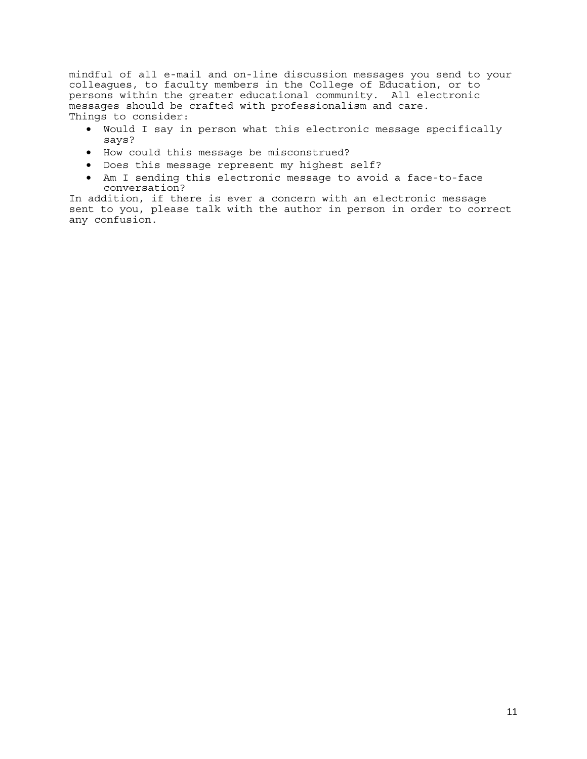mindful of all e-mail and on-line discussion messages you send to your colleagues, to faculty members in the College of Education, or to persons within the greater educational community. All electronic messages should be crafted with professionalism and care. Things to consider:

- Would I say in person what this electronic message specifically says?
- How could this message be misconstrued?
- Does this message represent my highest self?
- Am I sending this electronic message to avoid a face-to-face conversation?

In addition, if there is ever a concern with an electronic message sent to you, please talk with the author in person in order to correct any confusion.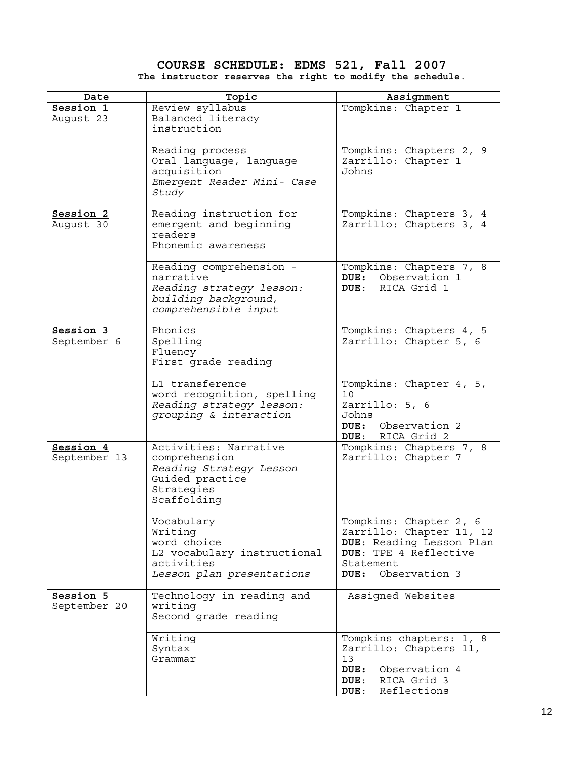# **COURSE SCHEDULE: EDMS 521, Fall 2007 The instructor reserves the right to modify the schedule**.

| Date                      | Topic                                                                                                             | Assignment                                                                                                                                     |
|---------------------------|-------------------------------------------------------------------------------------------------------------------|------------------------------------------------------------------------------------------------------------------------------------------------|
| Session 1<br>August 23    | Review syllabus<br>Balanced literacy<br>instruction                                                               | Tompkins: Chapter 1                                                                                                                            |
|                           | Reading process<br>Oral language, language<br>acquisition<br>Emergent Reader Mini- Case<br>Study                  | Tompkins: Chapters 2, 9<br>Zarrillo: Chapter 1<br>Johns                                                                                        |
| Session 2<br>August 30    | Reading instruction for<br>emergent and beginning<br>readers<br>Phonemic awareness                                | Tompkins: Chapters 3, 4<br>Zarrillo: Chapters 3, 4                                                                                             |
|                           | Reading comprehension -<br>narrative<br>Reading strategy lesson:<br>building background,<br>comprehensible input  | Tompkins: Chapters 7, 8<br>DUE: Observation 1<br>RICA Grid 1<br>DUE :                                                                          |
| Session 3<br>September 6  | Phonics<br>Spelling<br>Fluency<br>First grade reading                                                             | Tompkins: Chapters $\overline{4, 5}$<br>Zarrillo: Chapter 5, 6                                                                                 |
|                           | L1 transference<br>word recognition, spelling<br>Reading strategy lesson:<br>grouping & interaction               | Tompkins: Chapter 4, 5,<br>10<br>Zarrillo: 5, 6<br>Johns<br>DUE: Observation 2<br>DUE: RICA Grid 2                                             |
| Session 4<br>September 13 | Activities: Narrative<br>comprehension<br>Reading Strategy Lesson<br>Guided practice<br>Strategies<br>Scaffolding | Tompkins: Chapters 7, 8<br>Zarrillo: Chapter 7                                                                                                 |
|                           | Vocabulary<br>Writing<br>word choice<br>L2 vocabulary instructional<br>activities<br>Lesson plan presentations    | Tompkins: Chapter 2, 6<br>Zarrillo: Chapter 11, 12<br>DUE: Reading Lesson Plan<br>DUE: TPE 4 Reflective<br>Statement<br>Observation 3<br>DUE : |
| Session 5<br>September 20 | Technology in reading and<br>writing<br>Second grade reading                                                      | Assigned Websites                                                                                                                              |
|                           | Writing<br>Syntax<br>Grammar                                                                                      | Tompkins chapters: 1, 8<br>Zarrillo: Chapters 11,<br>13<br>Observation 4<br>DUE:<br>RICA Grid 3<br>DUE:<br>DUE: Reflections                    |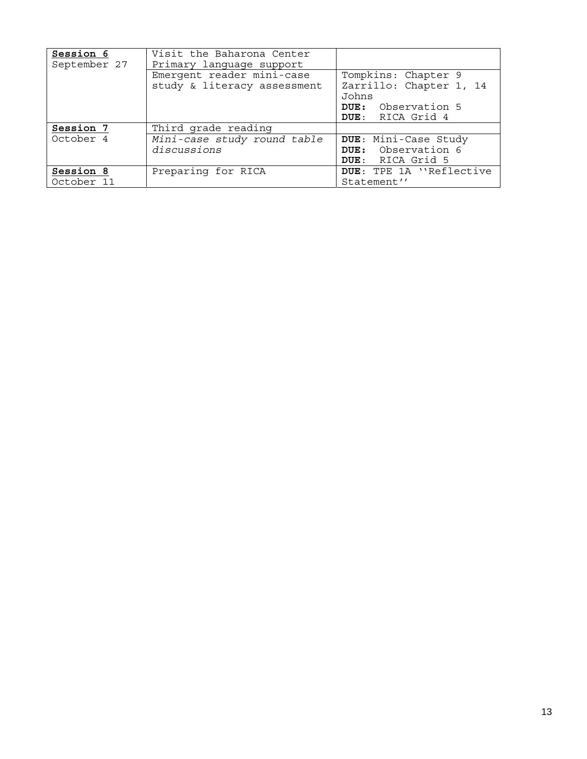| Session 6<br>September 27 | Visit the Baharona Center<br>Primary language support    |                                                                                                          |
|---------------------------|----------------------------------------------------------|----------------------------------------------------------------------------------------------------------|
|                           | Emergent reader mini-case<br>study & literacy assessment | Tompkins: Chapter 9<br>Zarrillo: Chapter 1, 14<br>Johns<br><b>DUE:</b> Observation 5<br>DUE: RICA Grid 4 |
| Session 7                 | Third grade reading                                      |                                                                                                          |
| October 4                 | Mini-case study round table                              | DUE: Mini-Case Study                                                                                     |
|                           | discussions                                              | <b>DUE:</b> Observation 6                                                                                |
|                           |                                                          | DUE: RICA Grid 5                                                                                         |
| Session 8                 | Preparing for RICA                                       | DUE: TPE 1A "Reflective                                                                                  |
| October 11                |                                                          | Statement''                                                                                              |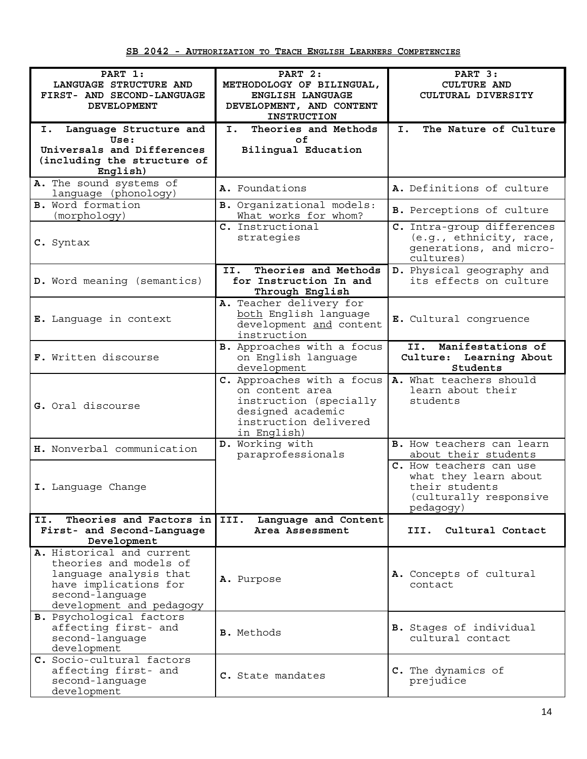| PART 1:                                          | PART 2:                                                  | PART 3:                                                         |
|--------------------------------------------------|----------------------------------------------------------|-----------------------------------------------------------------|
| LANGUAGE STRUCTURE AND                           | METHODOLOGY OF BILINGUAL,                                | <b>CULTURE AND</b>                                              |
| FIRST- AND SECOND-LANGUAGE<br><b>DEVELOPMENT</b> | ENGLISH LANGUAGE<br>DEVELOPMENT, AND CONTENT             | CULTURAL DIVERSITY                                              |
|                                                  | <b>INSTRUCTION</b>                                       |                                                                 |
| I. Language Structure and<br>Use:                | Theories and Methods<br>I. <b>I</b><br>οf                | I.<br>The Nature of Culture                                     |
| Universals and Differences                       | Bilingual Education                                      |                                                                 |
| (including the structure of                      |                                                          |                                                                 |
| English)                                         |                                                          |                                                                 |
| A. The sound systems of<br>language (phonology)  | A. Foundations                                           | A. Definitions of culture                                       |
| <b>B.</b> Word formation<br>(morphology)         | <b>B.</b> Organizational models:<br>What works for whom? | B. Perceptions of culture                                       |
|                                                  | C. Instructional                                         | C. Intra-group differences                                      |
| C. Syntax                                        | strategies                                               | (e.g., ethnicity, race,<br>generations, and micro-<br>cultures) |
|                                                  | Theories and Methods<br>II.                              | D. Physical geography and                                       |
| D. Word meaning (semantics)                      | for Instruction In and<br>Through English                | its effects on culture                                          |
|                                                  | A. Teacher delivery for                                  |                                                                 |
| E. Language in context                           | both English language<br>development and content         | E. Cultural congruence                                          |
|                                                  | instruction                                              |                                                                 |
|                                                  | B. Approaches with a focus                               | Manifestations of<br>II.                                        |
| F. Written discourse                             | on English language<br>development                       | Culture: Learning About<br>Students                             |
|                                                  | C. Approaches with a focus                               | A. What teachers should                                         |
|                                                  | on content area<br>instruction (specially                | learn about their<br>students                                   |
| G. Oral discourse                                | designed academic                                        |                                                                 |
|                                                  | instruction delivered<br>in English)                     |                                                                 |
| H. Nonverbal communication                       | D. Working with                                          | B. How teachers can learn                                       |
|                                                  | paraprofessionals                                        | about their students                                            |
|                                                  |                                                          | C. How teachers can use<br>what they learn about                |
| I. Language Change                               |                                                          | their students                                                  |
|                                                  |                                                          | (culturally responsive<br>pedagogy)                             |
| Theories and Factors in<br>II.                   | III.<br>Language and Content                             |                                                                 |
| First- and Second-Language                       | Area Assessment                                          | Cultural Contact<br>III.                                        |
| Development<br>A. Historical and current         |                                                          |                                                                 |
| theories and models of                           |                                                          |                                                                 |
| language analysis that                           | A. Purpose                                               | A. Concepts of cultural                                         |
| have implications for<br>second-language         |                                                          | contact                                                         |
| development and pedagogy                         |                                                          |                                                                 |
| B. Psychological factors                         |                                                          |                                                                 |
| affecting first- and<br>second-language          | <b>B.</b> Methods                                        | <b>B.</b> Stages of individual<br>cultural contact              |
| development                                      |                                                          |                                                                 |
| C. Socio-cultural factors                        |                                                          |                                                                 |
| affecting first- and<br>second-language          | C. State mandates                                        | C. The dynamics of<br>prejudice                                 |
| development                                      |                                                          |                                                                 |